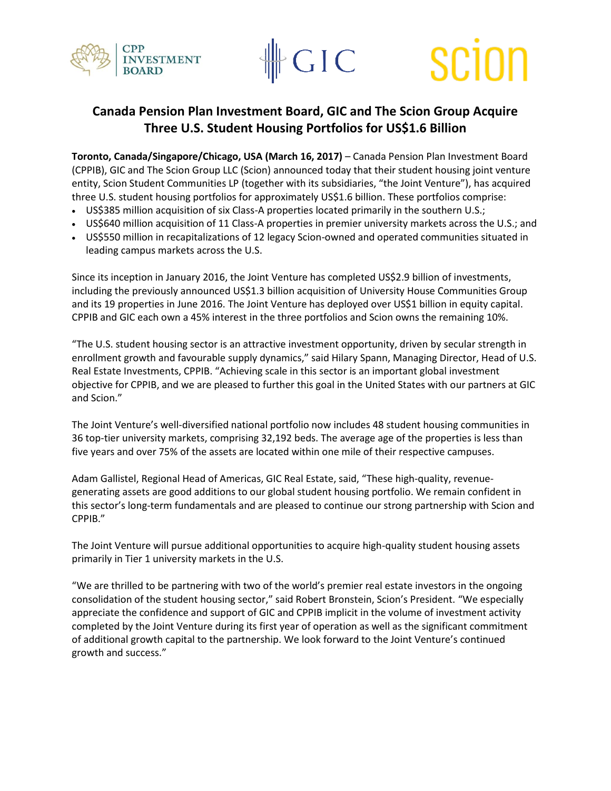



# SCIO

## **Canada Pension Plan Investment Board, GIC and The Scion Group Acquire Three U.S. Student Housing Portfolios for US\$1.6 Billion**

**Toronto, Canada/Singapore/Chicago, USA (March 16, 2017)** – Canada Pension Plan Investment Board (CPPIB), GIC and The Scion Group LLC (Scion) announced today that their student housing joint venture entity, Scion Student Communities LP (together with its subsidiaries, "the Joint Venture"), has acquired three U.S. student housing portfolios for approximately US\$1.6 billion. These portfolios comprise:

- US\$385 million acquisition of six Class-A properties located primarily in the southern U.S.;
- US\$640 million acquisition of 11 Class-A properties in premier university markets across the U.S.; and
- US\$550 million in recapitalizations of 12 legacy Scion-owned and operated communities situated in leading campus markets across the U.S.

Since its inception in January 2016, the Joint Venture has completed US\$2.9 billion of investments, including the previously announced US\$1.3 billion acquisition of University House Communities Group and its 19 properties in June 2016. The Joint Venture has deployed over US\$1 billion in equity capital. CPPIB and GIC each own a 45% interest in the three portfolios and Scion owns the remaining 10%.

"The U.S. student housing sector is an attractive investment opportunity, driven by secular strength in enrollment growth and favourable supply dynamics," said Hilary Spann, Managing Director, Head of U.S. Real Estate Investments, CPPIB. "Achieving scale in this sector is an important global investment objective for CPPIB, and we are pleased to further this goal in the United States with our partners at GIC and Scion."

The Joint Venture's well-diversified national portfolio now includes 48 student housing communities in 36 top-tier university markets, comprising 32,192 beds. The average age of the properties is less than five years and over 75% of the assets are located within one mile of their respective campuses.

Adam Gallistel, Regional Head of Americas, GIC Real Estate, said, "These high-quality, revenuegenerating assets are good additions to our global student housing portfolio. We remain confident in this sector's long-term fundamentals and are pleased to continue our strong partnership with Scion and CPPIB."

The Joint Venture will pursue additional opportunities to acquire high-quality student housing assets primarily in Tier 1 university markets in the U.S.

"We are thrilled to be partnering with two of the world's premier real estate investors in the ongoing consolidation of the student housing sector," said Robert Bronstein, Scion's President. "We especially appreciate the confidence and support of GIC and CPPIB implicit in the volume of investment activity completed by the Joint Venture during its first year of operation as well as the significant commitment of additional growth capital to the partnership. We look forward to the Joint Venture's continued growth and success."